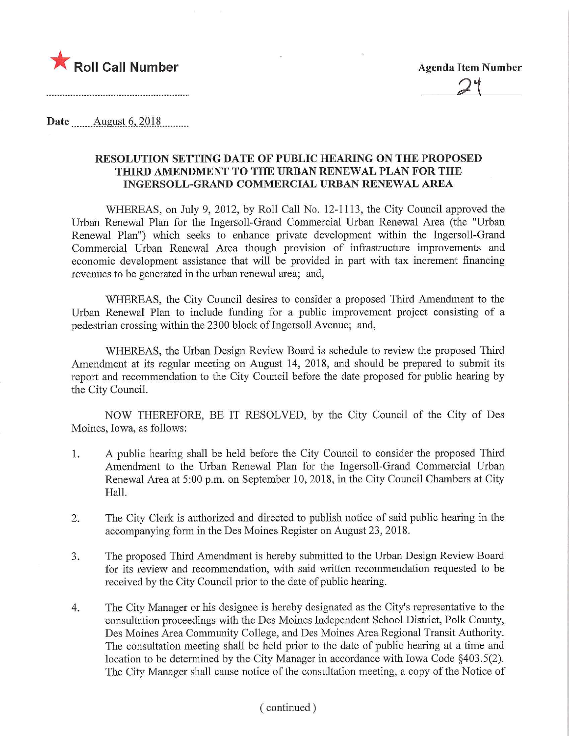

Date August 6, 2018

## RESOLUTION SETTING DATE OF PUBLIC HEARING ON THE PROPOSED THIRD AMENDMENT TO THE URBAN RENEWAL PLAN FOR THE INGERSOLL-GRAND COMMERCIAL URBAN RENEWAL AREA

WHEREAS, on July 9, 2012, by Roll Call No. 12-1113, the City Council approved the Urban Renewal Plan for the Ingersoll-Grand Commercial Urban Renewal Area (the "Urban Renewal Plan") which seeks to enhance private development within the Ingersoll-Grand Commercial Urban Renewal Area though provision of infrastructure improvements and economic development assistance that will be provided in part with tax increment financing revenues to be generated in the urban renewal area; and,

WHEREAS, the City Council desires to consider a proposed Third Amendment to the Urban Renewal Plan to include funding for a public improvement project consisting of a pedestrian crossing within the 2300 block of Ingersoll Avenue; and,

WHEREAS, the Urban Design Review Board is schedule to review the proposed Third Amendment at its regular meeting on August 14, 2018, and should be prepared to submit its report and recommendation to the City Council before the date proposed for public hearing by the City Council.

NOW THEREFORE, BE IT RESOLVED, by the City Council of the City of Des Moines, Iowa, as follows:

- 1. A public hearing shall be held before the City Council to consider the proposed Third Amendment to the Urban Renewal Plan for the Ingersoll-Grand Commercial Urban Renewal Area at 5:00 p.m. on September 10, 2018, in the City Council Chambers at City Hall.
- 2. The City Clerk is authorized and directed to publish notice of said public hearing in the accompanying form in the Des Moines Register on August 23, 2018.
- 3. The proposed Third Amendment is hereby submitted to the Urban Design Review Board for its review and recommendation, with said written recommendation requested to be received by the City Council prior to the date of public hearing.
- 4. The City Manager or his designee is hereby designated as the City's representative to the consultation proceedings with the Des Moines Independent School District, Polk County, Des Moines Area Community College, and Des Moines Area Regional Transit Authority. The consultation meeting shall be held prior to the date of public hearing at a time and location to be determined by the City Manager in accordance with Iowa Code §403.5(2). The City Manager shall cause notice of the consultation meeting, a copy of the Notice of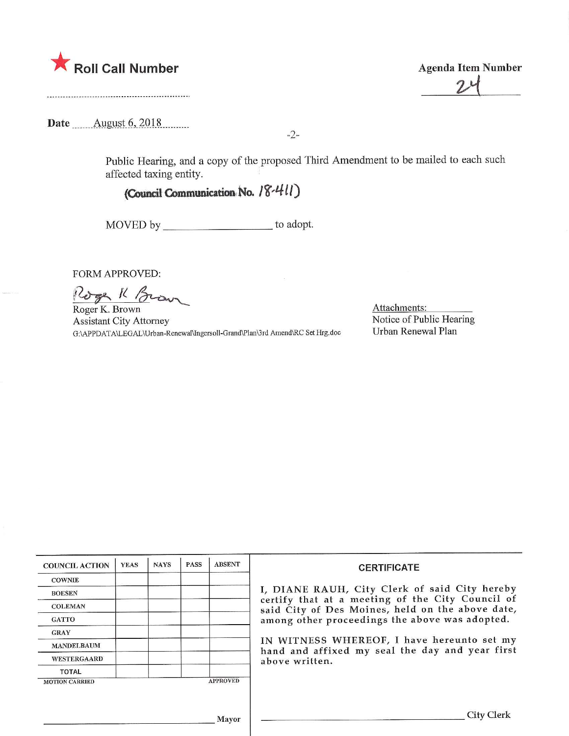

Date .^...Aygust.6,\_2Q18,

Public Hearing, and a copy of the proposed Third Amendment to be mailed to each such affected taxing entity.

-2-

## (Council Communication No.  $18-411$ )

MOVED by \_\_\_\_\_\_\_\_\_\_\_\_\_\_\_\_\_\_\_\_\_\_\_ to adopt.

FORM APPROVED:

Uga K / Mar

Roger K. Brown Assistant City Attorney G;\APPDATA\LEGAL\Urban-Renewal\Ingersoll-Grand\Plan\3rd Amend\RC Set Hrg.doc

Attachments: Notice of Public Hearing Urban Renewal Plan

| <b>COUNCIL ACTION</b>                    | <b>YEAS</b> | <b>NAYS</b> | <b>PASS</b> | <b>ABSENT</b> | <b>CERTIFICATE</b>                                                                                                                                    |  |  |
|------------------------------------------|-------------|-------------|-------------|---------------|-------------------------------------------------------------------------------------------------------------------------------------------------------|--|--|
| <b>COWNIE</b>                            |             |             |             |               | I, DIANE RAUH, City Clerk of said City hereby<br>certify that at a meeting of the City Council of<br>said City of Des Moines, held on the above date, |  |  |
| <b>BOESEN</b>                            |             |             |             |               |                                                                                                                                                       |  |  |
| <b>COLEMAN</b>                           |             |             |             |               |                                                                                                                                                       |  |  |
| <b>GATTO</b>                             |             |             |             |               | among other proceedings the above was adopted.                                                                                                        |  |  |
| <b>GRAY</b>                              |             |             |             |               | IN WITNESS WHEREOF, I have hereunto set my<br>hand and affixed my seal the day and year first                                                         |  |  |
| <b>MANDELBAUM</b>                        |             |             |             |               |                                                                                                                                                       |  |  |
| <b>WESTERGAARD</b>                       |             |             |             |               | above written.                                                                                                                                        |  |  |
| TOTAL                                    |             |             |             |               |                                                                                                                                                       |  |  |
| <b>APPROVED</b><br><b>MOTION CARRIED</b> |             |             |             |               |                                                                                                                                                       |  |  |
|                                          |             |             |             |               |                                                                                                                                                       |  |  |
| Mayor                                    |             |             |             |               |                                                                                                                                                       |  |  |

 $24$